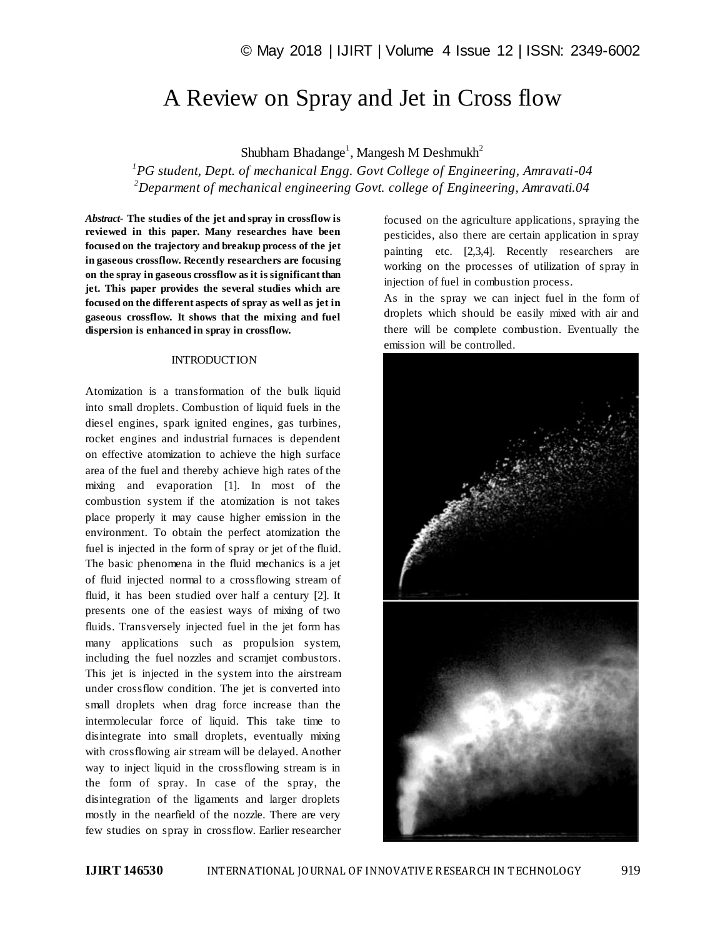# A Review on Spray and Jet in Cross flow

Shubham Bhadange<sup>1</sup>, Mangesh M Deshmukh<sup>2</sup>

*1 PG student, Dept. of mechanical Engg. Govt College of Engineering, Amravati-04 <sup>2</sup>Deparment of mechanical engineering Govt. college of Engineering, Amravati.04*

*Abstract*- **The studies of the jet and spray in crossflow is reviewed in this paper. Many researches have been focused on the trajectory and breakup process of the jet in gaseous crossflow. Recently researchers are focusing on the spray in gaseous crossflow as it is significant than jet. This paper provides the several studies which are focused on the different aspects of spray as well as jet in gaseous crossflow. It shows that the mixing and fuel dispersion is enhanced in spray in crossflow.**

#### **INTRODUCTION**

Atomization is a transformation of the bulk liquid into small droplets. Combustion of liquid fuels in the diesel engines, spark ignited engines, gas turbines, rocket engines and industrial furnaces is dependent on effective atomization to achieve the high surface area of the fuel and thereby achieve high rates of the mixing and evaporation [1]. In most of the combustion system if the atomization is not takes place properly it may cause higher emission in the environment. To obtain the perfect atomization the fuel is injected in the form of spray or jet of the fluid. The basic phenomena in the fluid mechanics is a jet of fluid injected normal to a crossflowing stream of fluid, it has been studied over half a century [2]. It presents one of the easiest ways of mixing of two fluids. Transversely injected fuel in the jet form has many applications such as propulsion system, including the fuel nozzles and scramjet combustors. This jet is injected in the system into the airstream under crossflow condition. The jet is converted into small droplets when drag force increase than the intermolecular force of liquid. This take time to disintegrate into small droplets, eventually mixing with crossflowing air stream will be delayed. Another way to inject liquid in the crossflowing stream is in the form of spray. In case of the spray, the disintegration of the ligaments and larger droplets mostly in the nearfield of the nozzle. There are very few studies on spray in crossflow. Earlier researcher

focused on the agriculture applications, spraying the pesticides, also there are certain application in spray painting etc. [2,3,4]. Recently researchers are working on the processes of utilization of spray in injection of fuel in combustion process.

As in the spray we can inject fuel in the form of droplets which should be easily mixed with air and there will be complete combustion. Eventually the emission will be controlled.

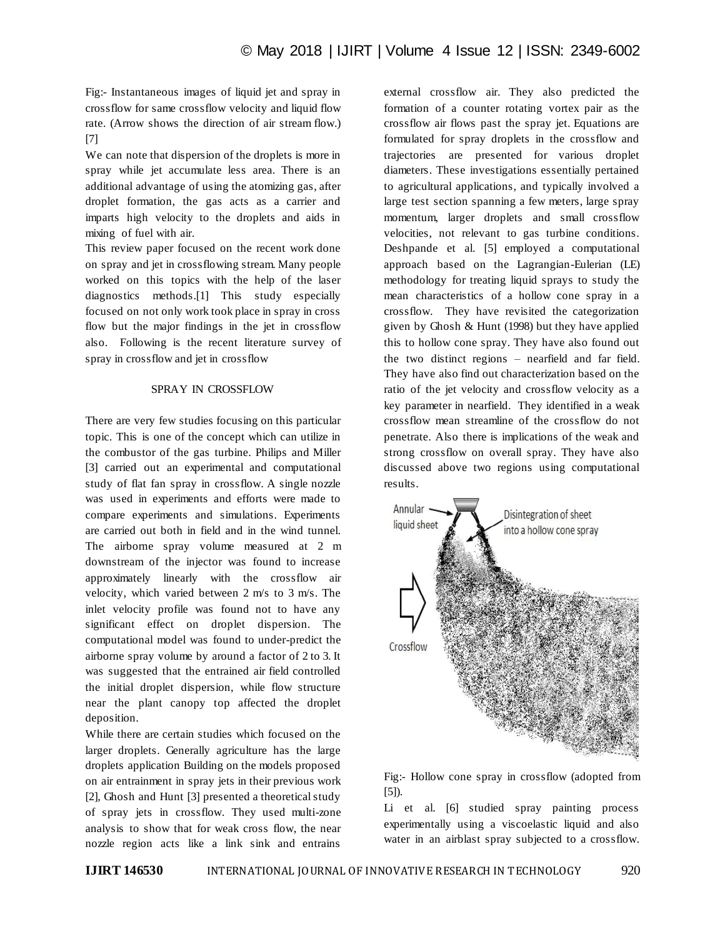Fig:- Instantaneous images of liquid jet and spray in crossflow for same crossflow velocity and liquid flow rate. (Arrow shows the direction of air stream flow.) [7]

We can note that dispersion of the droplets is more in spray while jet accumulate less area. There is an additional advantage of using the atomizing gas, after droplet formation, the gas acts as a carrier and imparts high velocity to the droplets and aids in mixing of fuel with air.

This review paper focused on the recent work done on spray and jet in crossflowing stream. Many people worked on this topics with the help of the laser diagnostics methods.[1] This study especially focused on not only work took place in spray in cross flow but the major findings in the jet in crossflow also. Following is the recent literature survey of spray in crossflow and jet in crossflow

# SPRAY IN CROSSFLOW

There are very few studies focusing on this particular topic. This is one of the concept which can utilize in the combustor of the gas turbine. Philips and Miller [3] carried out an experimental and computational study of flat fan spray in crossflow. A single nozzle was used in experiments and efforts were made to compare experiments and simulations. Experiments are carried out both in field and in the wind tunnel. The airborne spray volume measured at 2 m downstream of the injector was found to increase approximately linearly with the crossflow air velocity, which varied between 2 m/s to 3 m/s. The inlet velocity profile was found not to have any significant effect on droplet dispersion. The computational model was found to under-predict the airborne spray volume by around a factor of 2 to 3. It was suggested that the entrained air field controlled the initial droplet dispersion, while flow structure near the plant canopy top affected the droplet deposition.

While there are certain studies which focused on the larger droplets. Generally agriculture has the large droplets application Building on the models proposed on air entrainment in spray jets in their previous work [2], Ghosh and Hunt [3] presented a theoretical study of spray jets in crossflow. They used multi-zone analysis to show that for weak cross flow, the near nozzle region acts like a link sink and entrains

external crossflow air. They also predicted the formation of a counter rotating vortex pair as the crossflow air flows past the spray jet. Equations are formulated for spray droplets in the crossflow and trajectories are presented for various droplet diameters. These investigations essentially pertained to agricultural applications, and typically involved a large test section spanning a few meters, large spray momentum, larger droplets and small crossflow velocities, not relevant to gas turbine conditions. Deshpande et al. [5] employed a computational approach based on the Lagrangian-Eulerian (LE) methodology for treating liquid sprays to study the mean characteristics of a hollow cone spray in a crossflow. They have revisited the categorization given by Ghosh & Hunt (1998) but they have applied this to hollow cone spray. They have also found out the two distinct regions – nearfield and far field. They have also find out characterization based on the ratio of the jet velocity and crossflow velocity as a key parameter in nearfield. They identified in a weak crossflow mean streamline of the crossflow do not penetrate. Also there is implications of the weak and strong crossflow on overall spray. They have also discussed above two regions using computational results.



Fig:- Hollow cone spray in crossflow (adopted from [5]).

Li et al. [6] studied spray painting process experimentally using a viscoelastic liquid and also water in an airblast spray subjected to a crossflow.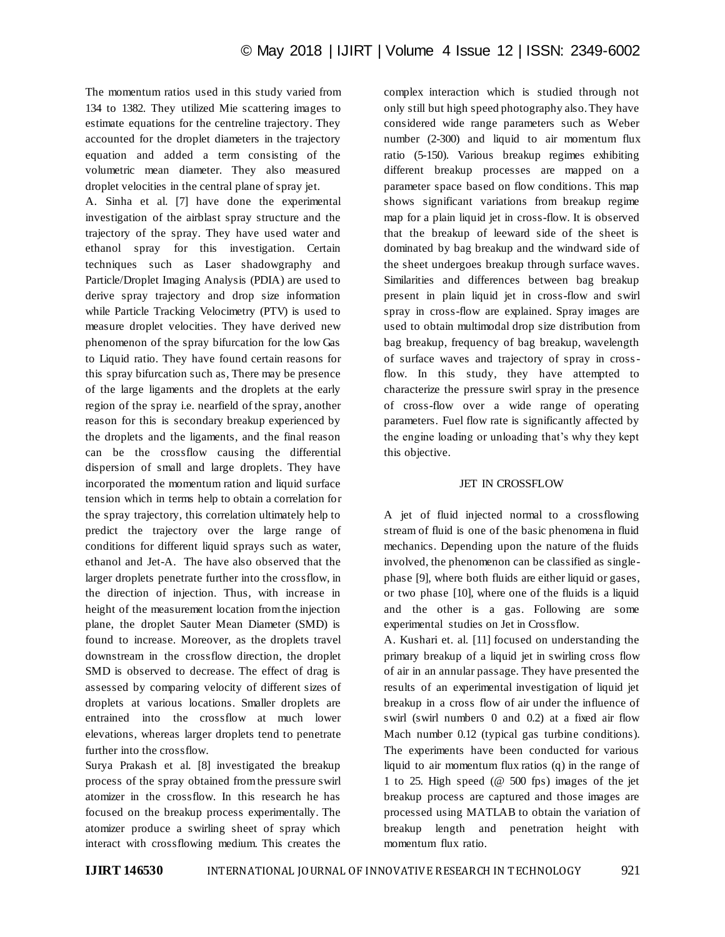The momentum ratios used in this study varied from 134 to 1382. They utilized Mie scattering images to estimate equations for the centreline trajectory. They accounted for the droplet diameters in the trajectory equation and added a term consisting of the volumetric mean diameter. They also measured droplet velocities in the central plane of spray jet.

A. Sinha et al. [7] have done the experimental investigation of the airblast spray structure and the trajectory of the spray. They have used water and ethanol spray for this investigation. Certain techniques such as Laser shadowgraphy and Particle/Droplet Imaging Analysis (PDIA) are used to derive spray trajectory and drop size information while Particle Tracking Velocimetry (PTV) is used to measure droplet velocities. They have derived new phenomenon of the spray bifurcation for the low Gas to Liquid ratio. They have found certain reasons for this spray bifurcation such as, There may be presence of the large ligaments and the droplets at the early region of the spray i.e. nearfield of the spray, another reason for this is secondary breakup experienced by the droplets and the ligaments, and the final reason can be the crossflow causing the differential dispersion of small and large droplets. They have incorporated the momentum ration and liquid surface tension which in terms help to obtain a correlation for the spray trajectory, this correlation ultimately help to predict the trajectory over the large range of conditions for different liquid sprays such as water, ethanol and Jet-A. The have also observed that the larger droplets penetrate further into the crossflow, in the direction of injection. Thus, with increase in height of the measurement location from the injection plane, the droplet Sauter Mean Diameter (SMD) is found to increase. Moreover, as the droplets travel downstream in the crossflow direction, the droplet SMD is observed to decrease. The effect of drag is assessed by comparing velocity of different sizes of droplets at various locations. Smaller droplets are entrained into the crossflow at much lower elevations, whereas larger droplets tend to penetrate further into the crossflow.

Surya Prakash et al. [8] investigated the breakup process of the spray obtained from the pressure swirl atomizer in the crossflow. In this research he has focused on the breakup process experimentally. The atomizer produce a swirling sheet of spray which interact with crossflowing medium. This creates the complex interaction which is studied through not only still but high speed photography also. They have considered wide range parameters such as Weber number (2-300) and liquid to air momentum flux ratio (5-150). Various breakup regimes exhibiting different breakup processes are mapped on a parameter space based on flow conditions. This map shows significant variations from breakup regime map for a plain liquid jet in cross-flow. It is observed that the breakup of leeward side of the sheet is dominated by bag breakup and the windward side of the sheet undergoes breakup through surface waves. Similarities and differences between bag breakup present in plain liquid jet in cross-flow and swirl spray in cross-flow are explained. Spray images are used to obtain multimodal drop size distribution from bag breakup, frequency of bag breakup, wavelength of surface waves and trajectory of spray in crossflow. In this study, they have attempted to characterize the pressure swirl spray in the presence of cross-flow over a wide range of operating parameters. Fuel flow rate is significantly affected by the engine loading or unloading that's why they kept this objective.

### JET IN CROSSFLOW

A jet of fluid injected normal to a crossflowing stream of fluid is one of the basic phenomena in fluid mechanics. Depending upon the nature of the fluids involved, the phenomenon can be classified as singlephase [9], where both fluids are either liquid or gases, or two phase [10], where one of the fluids is a liquid and the other is a gas. Following are some experimental studies on Jet in Crossflow.

A. Kushari et. al. [11] focused on understanding the primary breakup of a liquid jet in swirling cross flow of air in an annular passage. They have presented the results of an experimental investigation of liquid jet breakup in a cross flow of air under the influence of swirl (swirl numbers 0 and 0.2) at a fixed air flow Mach number 0.12 (typical gas turbine conditions). The experiments have been conducted for various liquid to air momentum flux ratios (q) in the range of 1 to 25. High speed (@ 500 fps) images of the jet breakup process are captured and those images are processed using MATLAB to obtain the variation of breakup length and penetration height with momentum flux ratio.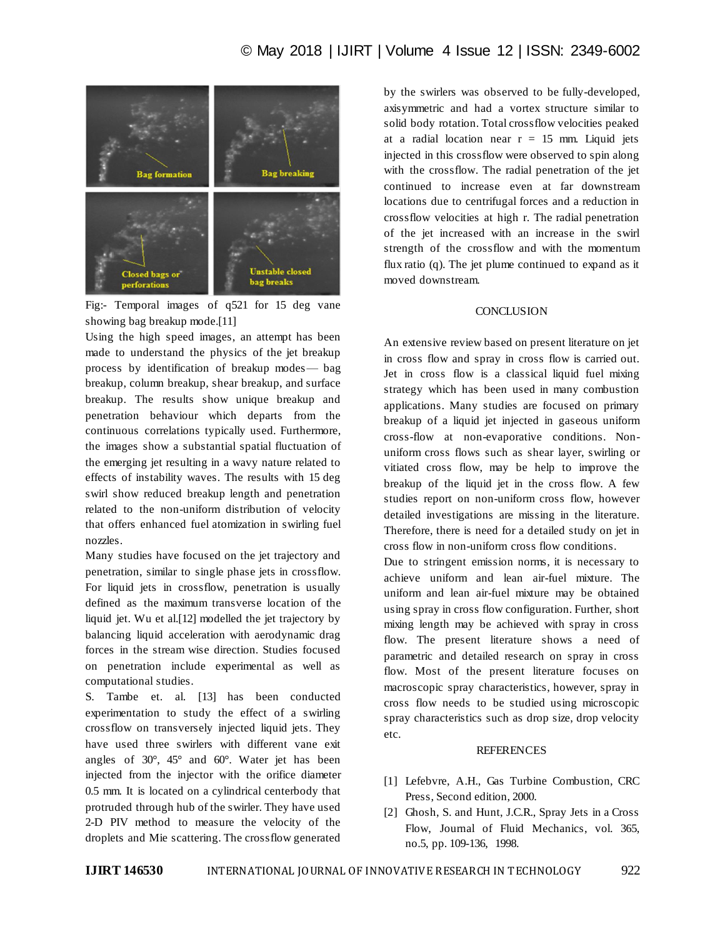

Fig:- Temporal images of q521 for 15 deg vane showing bag breakup mode.[11]

Using the high speed images, an attempt has been made to understand the physics of the jet breakup process by identification of breakup modes— bag breakup, column breakup, shear breakup, and surface breakup. The results show unique breakup and penetration behaviour which departs from the continuous correlations typically used. Furthermore, the images show a substantial spatial fluctuation of the emerging jet resulting in a wavy nature related to effects of instability waves. The results with 15 deg swirl show reduced breakup length and penetration related to the non-uniform distribution of velocity that offers enhanced fuel atomization in swirling fuel nozzles.

Many studies have focused on the jet trajectory and penetration, similar to single phase jets in crossflow. For liquid jets in crossflow, penetration is usually defined as the maximum transverse location of the liquid jet. Wu et al.[12] modelled the jet trajectory by balancing liquid acceleration with aerodynamic drag forces in the stream wise direction. Studies focused on penetration include experimental as well as computational studies.

S. Tambe et. al. [13] has been conducted experimentation to study the effect of a swirling crossflow on transversely injected liquid jets. They have used three swirlers with different vane exit angles of 30°, 45° and 60°. Water jet has been injected from the injector with the orifice diameter 0.5 mm. It is located on a cylindrical centerbody that protruded through hub of the swirler. They have used 2-D PIV method to measure the velocity of the droplets and Mie scattering. The crossflow generated

by the swirlers was observed to be fully-developed, axisymmetric and had a vortex structure similar to solid body rotation. Total crossflow velocities peaked at a radial location near  $r = 15$  mm. Liquid jets injected in this crossflow were observed to spin along with the crossflow. The radial penetration of the jet continued to increase even at far downstream locations due to centrifugal forces and a reduction in crossflow velocities at high r. The radial penetration of the jet increased with an increase in the swirl strength of the crossflow and with the momentum flux ratio (q). The jet plume continued to expand as it moved downstream.

## **CONCLUSION**

An extensive review based on present literature on jet in cross flow and spray in cross flow is carried out. Jet in cross flow is a classical liquid fuel mixing strategy which has been used in many combustion applications. Many studies are focused on primary breakup of a liquid jet injected in gaseous uniform cross-flow at non-evaporative conditions. Nonuniform cross flows such as shear layer, swirling or vitiated cross flow, may be help to improve the breakup of the liquid jet in the cross flow. A few studies report on non-uniform cross flow, however detailed investigations are missing in the literature. Therefore, there is need for a detailed study on jet in cross flow in non-uniform cross flow conditions.

Due to stringent emission norms, it is necessary to achieve uniform and lean air-fuel mixture. The uniform and lean air-fuel mixture may be obtained using spray in cross flow configuration. Further, short mixing length may be achieved with spray in cross flow. The present literature shows a need of parametric and detailed research on spray in cross flow. Most of the present literature focuses on macroscopic spray characteristics, however, spray in cross flow needs to be studied using microscopic spray characteristics such as drop size, drop velocity etc.

### **REFERENCES**

- [1] Lefebvre, A.H., Gas Turbine Combustion, CRC Press, Second edition, 2000.
- [2] Ghosh, S. and Hunt, J.C.R., Spray Jets in a Cross Flow, Journal of Fluid Mechanics, vol. 365, no.5, pp. 109-136, 1998.